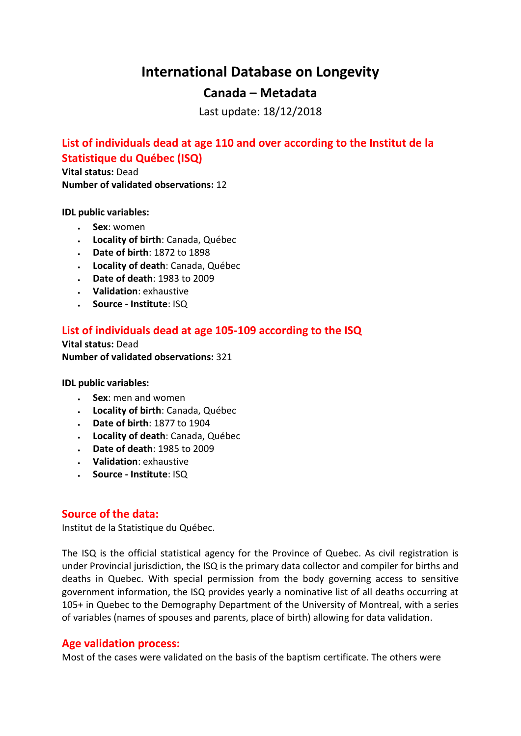# **International Database on Longevity**

## **Canada – Metadata**

Last update: 18/12/2018

# **List of individuals dead at age 110 and over according to the Institut de la Statistique du Québec (ISQ)**

**Vital status:** Dead **Number of validated observations:** 12

**IDL public variables:** 

- **Sex**: women
- **Locality of birth**: Canada, Québec
- **Date of birth**: 1872 to 1898
- **Locality of death**: Canada, Québec
- **Date of death**: 1983 to 2009
- **Validation**: exhaustive
- **Source - Institute**: ISQ

## **List of individuals dead at age 105-109 according to the ISQ**

**Vital status:** Dead **Number of validated observations:** 321

**IDL public variables:** 

- **Sex**: men and women
- **Locality of birth**: Canada, Québec
- **Date of birth**: 1877 to 1904
- **Locality of death**: Canada, Québec
- **Date of death**: 1985 to 2009
- **Validation**: exhaustive
- **Source - Institute**: ISQ

### **Source of the data:**

Institut de la Statistique du Québec.

The ISQ is the official statistical agency for the Province of Quebec. As civil registration is under Provincial jurisdiction, the ISQ is the primary data collector and compiler for births and deaths in Quebec. With special permission from the body governing access to sensitive government information, the ISQ provides yearly a nominative list of all deaths occurring at 105+ in Quebec to the Demography Department of the University of Montreal, with a series of variables (names of spouses and parents, place of birth) allowing for data validation.

### **Age validation process:**

Most of the cases were validated on the basis of the baptism certificate. The others were